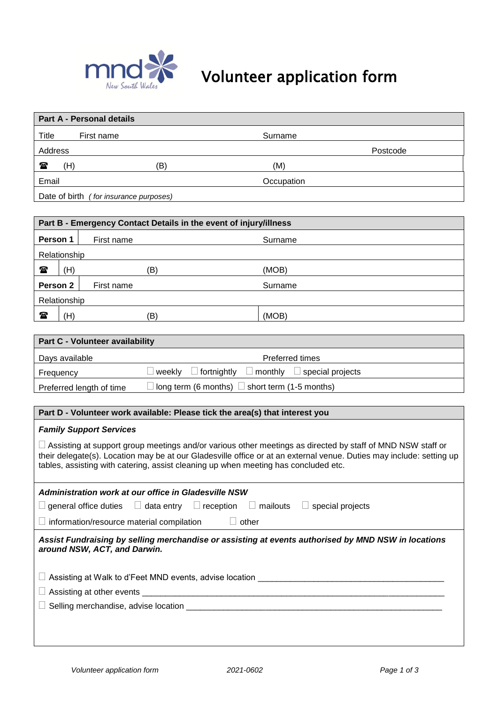

# Volunteer application form

|                                                                                                                                                                                                                                                                                                                                  | <b>Part A - Personal details</b>       |        |                                                                   |          |
|----------------------------------------------------------------------------------------------------------------------------------------------------------------------------------------------------------------------------------------------------------------------------------------------------------------------------------|----------------------------------------|--------|-------------------------------------------------------------------|----------|
| <b>Title</b>                                                                                                                                                                                                                                                                                                                     | First name                             |        | Surname                                                           |          |
| Address                                                                                                                                                                                                                                                                                                                          |                                        |        |                                                                   | Postcode |
| 雷<br>(H)                                                                                                                                                                                                                                                                                                                         |                                        | (B)    | (M)                                                               |          |
| Email                                                                                                                                                                                                                                                                                                                            |                                        |        | Occupation                                                        |          |
|                                                                                                                                                                                                                                                                                                                                  | Date of birth (for insurance purposes) |        |                                                                   |          |
|                                                                                                                                                                                                                                                                                                                                  |                                        |        |                                                                   |          |
|                                                                                                                                                                                                                                                                                                                                  |                                        |        | Part B - Emergency Contact Details in the event of injury/illness |          |
| Person 1                                                                                                                                                                                                                                                                                                                         | First name                             |        | Surname                                                           |          |
| Relationship                                                                                                                                                                                                                                                                                                                     |                                        |        |                                                                   |          |
| $\mathbf{r}$<br>(H)                                                                                                                                                                                                                                                                                                              |                                        | (B)    | (MOB)                                                             |          |
| Person <sub>2</sub>                                                                                                                                                                                                                                                                                                              | First name                             |        | Surname                                                           |          |
| Relationship                                                                                                                                                                                                                                                                                                                     |                                        |        |                                                                   |          |
| (H)<br>$\mathbf{r}$                                                                                                                                                                                                                                                                                                              |                                        | (B)    | (MOB)                                                             |          |
|                                                                                                                                                                                                                                                                                                                                  |                                        |        |                                                                   |          |
|                                                                                                                                                                                                                                                                                                                                  | Part C - Volunteer availability        |        |                                                                   |          |
| Days available                                                                                                                                                                                                                                                                                                                   |                                        |        | <b>Preferred times</b>                                            |          |
| Frequency                                                                                                                                                                                                                                                                                                                        |                                        | weekly | fortnightly<br>$\Box$ monthly<br>$\Box$ special projects          |          |
| long term (6 months)<br>short term (1-5 months)<br>Preferred length of time                                                                                                                                                                                                                                                      |                                        |        |                                                                   |          |
|                                                                                                                                                                                                                                                                                                                                  |                                        |        |                                                                   |          |
| Part D - Volunteer work available: Please tick the area(s) that interest you                                                                                                                                                                                                                                                     |                                        |        |                                                                   |          |
| <b>Family Support Services</b>                                                                                                                                                                                                                                                                                                   |                                        |        |                                                                   |          |
| $\Box$ Assisting at support group meetings and/or various other meetings as directed by staff of MND NSW staff or<br>their delegate(s). Location may be at our Gladesville office or at an external venue. Duties may include: setting up<br>tables, assisting with catering, assist cleaning up when meeting has concluded etc. |                                        |        |                                                                   |          |

| Administration work at our office in Gladesville NSW<br>$\Box$ general office duties $\Box$ data entry $\Box$ reception $\Box$ mailouts $\Box$<br>special projects |  |  |  |  |
|--------------------------------------------------------------------------------------------------------------------------------------------------------------------|--|--|--|--|
| $\Box$ information/resource material compilation<br>other                                                                                                          |  |  |  |  |
| Assist Fundraising by selling merchandise or assisting at events authorised by MND NSW in locations<br>around NSW, ACT, and Darwin.                                |  |  |  |  |
| $\Box$ Assisting at Walk to d'Feet MND events, advise location                                                                                                     |  |  |  |  |
|                                                                                                                                                                    |  |  |  |  |
|                                                                                                                                                                    |  |  |  |  |
|                                                                                                                                                                    |  |  |  |  |
|                                                                                                                                                                    |  |  |  |  |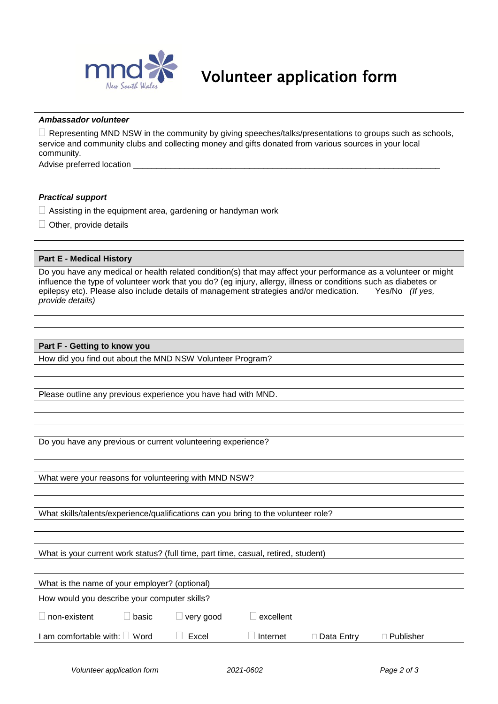

### Volunteer application form

#### *Ambassador volunteer*

 $\Box$  Representing MND NSW in the community by giving speeches/talks/presentations to groups such as schools, service and community clubs and collecting money and gifts donated from various sources in your local community.

Advise preferred location

#### *Practical support*

- $\Box$  Assisting in the equipment area, gardening or handyman work
- $\Box$  Other, provide details

#### **Part E** *-* **Medical History**

Do you have any medical or health related condition(s) that may affect your performance as a volunteer or might influence the type of volunteer work that you do? (eg injury, allergy, illness or conditions such as diabetes or epilepsy etc). Please also include details of management strategies and/or medication. Yes/No *(If yes, provide details)*

#### **Part F - Getting to know you**

How did you find out about the MND NSW Volunteer Program?

Please outline any previous experience you have had with MND.

Do you have any previous or current volunteering experience?

What were your reasons for volunteering with MND NSW?

What skills/talents/experience/qualifications can you bring to the volunteer role?

What is your current work status? (full time, part time, casual, retired, student)

| What is the name of your employer? (optional) |  |  |
|-----------------------------------------------|--|--|
|                                               |  |  |

| How would you describe your computer skills? |
|----------------------------------------------|
|----------------------------------------------|

| $\Box$ non-existent | $\Box$ basic | $\Box$ very good |
|---------------------|--------------|------------------|
|                     |              |                  |

I am comfortable with: □ Word □ Excel □ Internet □ Data Entry □ Publisher

| $\Box$ excellent |  |
|------------------|--|
|                  |  |